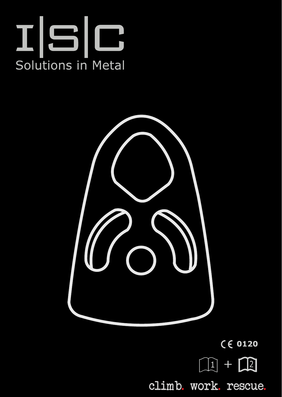



 $C \in 0120$  $\boxed{\mathbb{Q}}$  +  $\boxed{\mathbb{Q}}$ climb. work. rescue.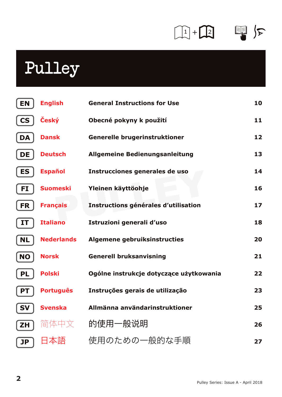## $\begin{picture}(20,20) \put(0,0){\line(1,0){10}} \put(15,0){\line(1,0){10}} \put(15,0){\line(1,0){10}} \put(15,0){\line(1,0){10}} \put(15,0){\line(1,0){10}} \put(15,0){\line(1,0){10}} \put(15,0){\line(1,0){10}} \put(15,0){\line(1,0){10}} \put(15,0){\line(1,0){10}} \put(15,0){\line(1,0){10}} \put(15,0){\line(1,0){10}} \put(15,0){\line(1$

## Pulley

| <b>EN</b> | <b>English</b>    | <b>General Instructions for Use</b>     | 10 |
|-----------|-------------------|-----------------------------------------|----|
| <b>CS</b> | Český             | Obecné pokyny k použití                 | 11 |
| DA        | <b>Dansk</b>      | Generelle brugerinstruktioner           | 12 |
| DE        | <b>Deutsch</b>    | Allgemeine Bedienungsanleitung          | 13 |
| ES        | <b>Español</b>    | Instrucciones generales de uso          | 14 |
| FI        | <b>Suomeski</b>   | Yleinen käyttöohje                      | 16 |
| <b>FR</b> | <b>Français</b>   | Instructions générales d'utilisation    | 17 |
| IΤ        | <b>Italiano</b>   | Istruzioni generali d'uso               | 18 |
| <b>NL</b> | <b>Nederlands</b> | Algemene gebruiksinstructies            | 20 |
| <b>NO</b> | <b>Norsk</b>      | <b>Generell bruksanvisning</b>          | 21 |
| PL        | <b>Polski</b>     | Ogólne instrukcje dotyczące użytkowania | 22 |
| <b>PT</b> | <b>Português</b>  | Instruções gerais de utilização         | 23 |
| SV        | <b>Svenska</b>    | Allmänna användarinstruktioner          | 25 |
| ΖH        | 简体中文              | 的使用一般说明                                 | 26 |
| JP        |                   | 使用のための一般的な手順                            | 27 |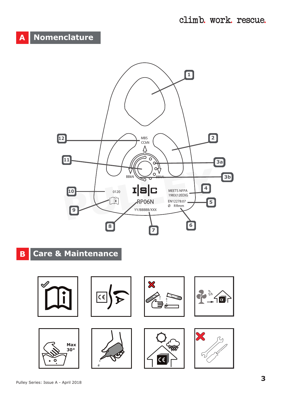## **A Nomenclature**



## **B Care & Maintenance**











65G  $\overline{\epsilon}$ 



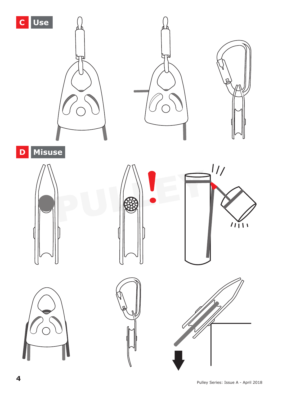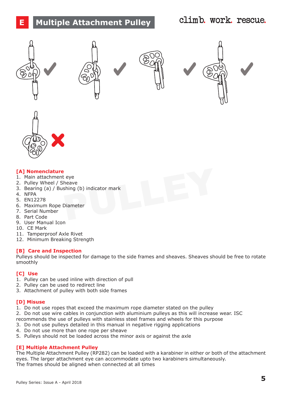## **E Multiple Attachment Pulley**

## climb. work. rescue.











#### **[A] Nomenclature**

- 1. Main attachment eye
- 2. Pulley Wheel / Sheave
- eye<br>
eleave<br>
Diameter<br>
Diameter<br>
PULLEY CONTEXT PRESSURE AND THE PULLEY OF THE PULLEY OF THE PULLEY OF THE PULLEY OF THE PULLEY OF THE PULLEY OF THE PULLEY OF THE PULLEY OF THE PULLEY OF THE PULLEY OF THE PULLEY OF THE PUL 3. Bearing (a) / Bushing (b) indicator mark
- 4. NFPA
- 5. EN12278
- 6. Maximum Rope Diameter
- 7. Serial Number
- 8. Part Code
- 9. User Manual Icon
- 10. CE Mark
- 11. Tamperproof Axle Rivet
- 12. Minimum Breaking Strength

#### **[B] Care and Inspection**

Pulleys should be inspected for damage to the side frames and sheaves. Sheaves should be free to rotate smoothly

#### **[C] Use**

- 1. Pulley can be used inline with direction of pull
- 2. Pulley can be used to redirect line
- 3. Attachment of pulley with both side frames

#### **[D] Misuse**

- 1. Do not use ropes that exceed the maximum rope diameter stated on the pulley
- 2. Do not use wire cables in conjunction with aluminium pulleys as this will increase wear. ISC
- recommends the use of pulleys with stainless steel frames and wheels for this purpose
- 3. Do not use pulleys detailed in this manual in negative rigging applications
- 4. Do not use more than one rope per sheave
- 5. Pulleys should not be loaded across the minor axis or against the axle

#### **[E] Multiple Attachment Pulley**

The Multiple Attachment Pulley (RP282) can be loaded with a karabiner in either or both of the attachment eyes. The larger attachment eye can accommodate upto two karabiners simultaneously. The frames should be aligned when connected at all times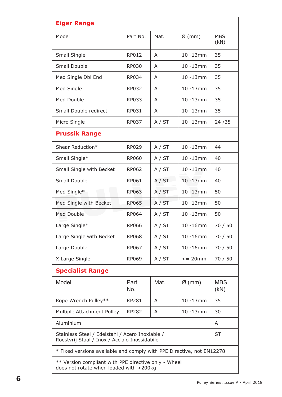| <b>Eiger Range</b>                                                                               |             |        |              |                    |  |  |  |  |  |
|--------------------------------------------------------------------------------------------------|-------------|--------|--------------|--------------------|--|--|--|--|--|
| Model                                                                                            | Part No.    | Mat.   | $Ø$ (mm)     | <b>MBS</b><br>(kN) |  |  |  |  |  |
| Small Single                                                                                     | RP012       | A      | 10 -13mm     | 35                 |  |  |  |  |  |
| Small Double                                                                                     | RP030       | A      | $10 - 13$ mm | 35                 |  |  |  |  |  |
| Med Single Dbl End                                                                               | RP034       | A      | $10 - 13$ mm | 35                 |  |  |  |  |  |
| Med Single                                                                                       | RP032       | А      | 10 -13mm     | 35                 |  |  |  |  |  |
| Med Double                                                                                       | RP033       | A      | $10 - 13$ mm | 35                 |  |  |  |  |  |
| Small Double redirect                                                                            | RP031       | Α      | $10 - 13$ mm | 35                 |  |  |  |  |  |
| Micro Single                                                                                     | RP037       | A / ST | $10 - 13$ mm | 24 / 35            |  |  |  |  |  |
| <b>Prussik Range</b>                                                                             |             |        |              |                    |  |  |  |  |  |
| Shear Reduction*                                                                                 | RP029       | A / ST | $10 - 13$ mm | 44                 |  |  |  |  |  |
| Small Single*                                                                                    | RP060       | A / ST | $10 - 13$ mm | 40                 |  |  |  |  |  |
| Small Single with Becket                                                                         | RP062       | A / ST | $10 - 13$ mm | 40                 |  |  |  |  |  |
| Small Double                                                                                     | RP061       | A / ST | 10 -13mm     | 40                 |  |  |  |  |  |
| Med Single*                                                                                      | RP063       | A / ST | $10 - 13$ mm | 50                 |  |  |  |  |  |
| Med Single with Becket                                                                           | RP065       | A / ST | 10 -13mm     | 50                 |  |  |  |  |  |
| Med Double                                                                                       | RP064       | A / ST | $10 - 13$ mm | 50                 |  |  |  |  |  |
| Large Single*                                                                                    | RP066       | A / ST | $10 - 16$ mm | 70 / 50            |  |  |  |  |  |
| Large Single with Becket                                                                         | RP068       | A / ST | $10 - 16$ mm | 70 / 50            |  |  |  |  |  |
| Large Double                                                                                     | RP067       | A / ST | $10 - 16$ mm | 70 / 50            |  |  |  |  |  |
| X Large Single                                                                                   | RP069       | A / ST | $= 20$ mm    | 70 / 50            |  |  |  |  |  |
| <b>Specialist Range</b>                                                                          |             |        |              |                    |  |  |  |  |  |
| Model                                                                                            | Part<br>No. | Mat.   | Ø (mm)       | <b>MBS</b><br>(KN) |  |  |  |  |  |
| Rope Wrench Pulley**                                                                             | RP281       | A      | $10 - 13$ mm | 35                 |  |  |  |  |  |
| Multiple Attachment Pulley                                                                       | RP282       | А      | $10 - 13$ mm | 30                 |  |  |  |  |  |
| Aluminium                                                                                        | A           |        |              |                    |  |  |  |  |  |
| Stainless Steel / Edelstahl / Acero Inoxiable /<br>Roestvrij Staal / Inox / Acciaio Inossidabile | ST          |        |              |                    |  |  |  |  |  |
| * Fixed versions available and comply with PPE Directive, not EN12278                            |             |        |              |                    |  |  |  |  |  |
| ** Version compliant with PPE directive only - Wheel<br>does not rotate when loaded with >200kg  |             |        |              |                    |  |  |  |  |  |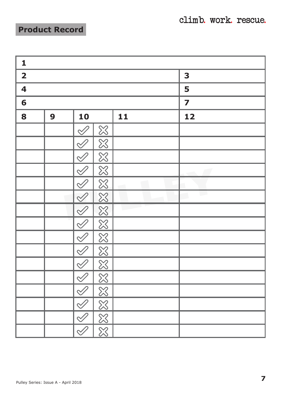climb. work. rescue.

í

## **Product Record**

| 1           |         |                                       |                               |        |    |                         |  |  |
|-------------|---------|---------------------------------------|-------------------------------|--------|----|-------------------------|--|--|
| $\mathbf 2$ |         |                                       |                               |        |    | 3                       |  |  |
| 4           |         |                                       |                               | 5      |    |                         |  |  |
| 6           |         |                                       |                               |        |    | $\overline{\mathbf{z}}$ |  |  |
| 8           | 10<br>9 |                                       | 11                            |        | 12 |                         |  |  |
|             |         | $\mathscr{\mathscr{Q}}$               | $\frac{\infty}{\infty}$       |        |    |                         |  |  |
|             |         | $\bar{\mathscr{Q}}$                   | $\frac{8}{3}$                 |        |    |                         |  |  |
|             |         | $\mathscr{Q}$                         | $\overline{\mathbb{X}}$       |        |    |                         |  |  |
|             |         | $\trianglelefteq$                     | $\overline{\boxtimes}$        |        |    | $\sqrt{2}$              |  |  |
|             |         | $\mathcal Q$                          | $\overline{\infty}$           | $\sim$ |    |                         |  |  |
|             |         | $\oslash$                             | $\frac{8}{3}$                 |        |    | <b>COL</b>              |  |  |
|             |         | $\overline{\mathscr{Q}}$              | $\frac{8}{3}$                 |        |    |                         |  |  |
|             |         | $\mathcal{Q}$                         | $\frac{\boxtimes}{\boxtimes}$ |        |    |                         |  |  |
|             |         | $\mathcal{ \mathcal{ \mathcal{S} } }$ |                               |        |    |                         |  |  |
|             |         | $\overline{\mathscr{S}}$              | $\overline{\mathbb{X}}$       |        |    |                         |  |  |
|             |         | $\mathcal{\mathcal{Q}}$               | $\frac{\infty}{\infty}$       |        |    |                         |  |  |
|             |         | $\mathscr{O}$                         |                               |        |    |                         |  |  |
|             |         | $\overline{\mathscr{S}}$              |                               |        |    |                         |  |  |
|             |         | $\mathcal{\mathcal{\mathcal{Q}}}$     | $\frac{1}{8}$                 |        |    |                         |  |  |
|             |         | Ī                                     | $\overline{\mathbb{X}}$       |        |    |                         |  |  |
|             |         | $\mathscr{Q}$                         | $\overline{\boxtimes}$        |        |    |                         |  |  |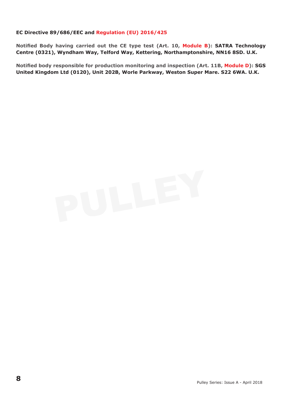#### **EC Directive 89/686/EEC and Regulation (EU) 2016/425**

**Notified Body having carried out the CE type test (Art. 10, Module B): SATRA Technology Centre (0321), Wyndham Way, Telford Way, Kettering, Northamptonshire, NN16 8SD. U.K.**

**Notified body responsible for production monitoring and inspection (Art. 11B, Module D): SGS United Kingdom Ltd (0120), Unit 202B, Worle Parkway, Weston Super Mare. S22 6WA. U.K.**

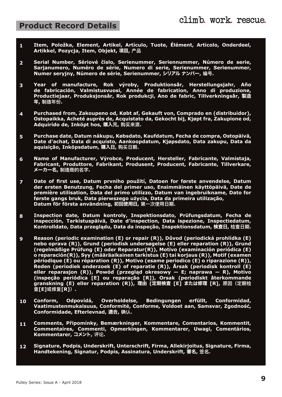### **Product Record Details**

- **Item, Položka, Element, Artikel, Artículo, Tuote, Élément, Articolo, Onderdeel, Artikkel, Pozycja, Item, Objekt,** 項目**, 产品 1**
- **Serial Number, Sériové číslo, Serienummer, Seriennummer, Número de serie, Sarjanumero, Numéro de série, Numero di serie, Serienummer, Serienummer, Numer seryjny, Número de série, Serienummer,** シリアル ナンバー**, 编号. 2**
- Year of manufacture, Rok výroby, Produktionsăr, Herstellungsjahr, Año<br>de fabricación, Valmistusvuosi, Année de fabrication, Anno di produzione, **Productiejaar, Produksjonsår, Rok produkcji, Ano de fabric, Tillverkningsår,** 製造 年**, 制造年份. 3**
- **Purchased from, Zakoupeno od, Købt af, Gekauft von, Comprado en (distribuidor), Ostopaikka, Acheté auprès de, Acquistato da, Gekocht bij, Kjøpt fra, Zakupione od, Adquirido de, Inköpt hos,** 購入元**, 购买来源. 4**
- **Purchase date, Datum nákupu, Købsdato, Kaufdatum, Fecha de compra, Ostopäivä, Date d'achat, Data di acquisto, Aankoopdatum, Kjøpsdato, Data zakupu, Data da aquisição, Inköpsdatum,** 購入日**, 购买日期. 5**
- **Name of Manufacturer, Výrobce, Producent, Hersteller, Fabricante, Valmistaja, Fabricant, Produttore, Fabrikant, Produsent, Producent, Fabricante, Tillverkare,** メーカー名**, 制造商的名字. 6**
- 遠商的名字.<br>tt use, Datum prvního použití, Datoen for første anvend<br>Benutzung, Fecha del primer uso, Ensimmäinen käyttöp<br>dilisation, Data del primo utilizzo, Datum van ingebruikna<br>s bruk, Data pierwszego użycia, Data da primei **Date of first use, Datum prvního použití, Datoen for første anvendelse, Datum der ersten Benutzung, Fecha del primer uso, Ensimmäinen käyttöpäivä, Date de première utilisation, Data del primo utilizzo, Datum van ingebruikname, Dato for første gangs bruk, Data pierwszego użycia, Data da primeira utilização, Datum för första användning,** 初回使用日**, 第一次使用日期. 7**
- **Inspection date, Datum kontroly, Inspektionsdato, Prüfungsdatum, Fecha de inspección, Tarkistuspäivä, Date d'inspection, Data ispezione, Inspectiedatum, Kontrolldato, Data przeglądu, Data da inspeção, Inspektionsdatum,** 検査日**, 检查日期. 8**
- **Reason (periodic examination (E) or repair (R)), Důvod (periodická prohlídka (E) nebo oprava (R)), Grund (periodisk undersøgelse (E) eller reparation (R)), Grund (regelmäßige Prüfung (E) oder Reparatur(R)), Motivo (examinación periódica (E) o reparación(R)), Syy (määräaikainen tarkistus (E) tai korjaus (R)), Motif (examen périodique (E) ou réparation (R)), Motivo (esame periodico (E) o riparazione (R)), Reden (periodiek onderzoek (E) of reparatie (R)), Årsak (periodisk kontroll (E)** eller reparasjon (R)), Powód (przegląd okresowy ー E; naprawa — R), Motivo<br>(inspeção periódica [E] ou reparação [R]), Orsak (periodiskt âterkommande<br>granskning (E) eller reparation (R)), 理由 (定期検査 [E] または修理 [R], 原因 (定期检 **查[E]或修复[R]). 9**
- Conform, Odpovídá, Overholdelse, Bedingungen erfüllt, Conformidad,<br>Vaatimustenmukaisuus, Conformité, Conforme, Voldoet aan, Samsvar, Zgodność, **Conformidade, Efterlevnad,** 適合**, 确认. 10**
- **Comments, Připomínky, Bemærkninger, Kommentare, Comentarios, Kommentit, Commentaires, Commenti, Opmerkingen, Kommentarer, Uwagi, Comentários, Kommentarer,** コメント**, 评论. 11**
- **Signature, Podpis, Underskrift, Unterschrift, Firma, Allekirjoitus, Signature, Firma, Handtekening, Signatur, Podpis, Assinatura, Underskrift,** 署名**, 签名. 12**